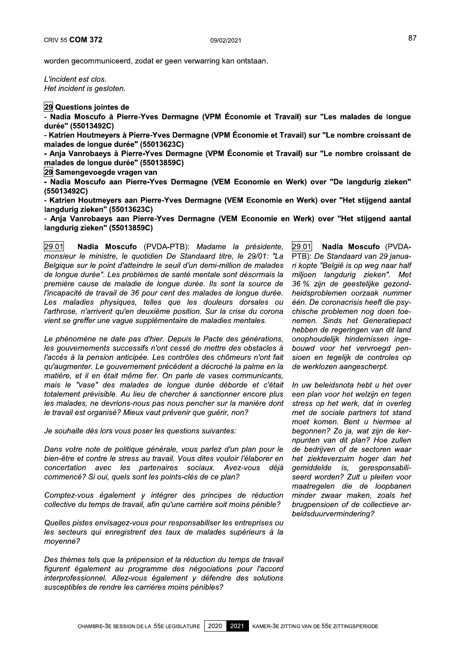$\overline{\phantom{0}}$ <u>za</u> Questions jointes de

<mark>29</mark> Questions jointes de<br>- Nadia Moscufo à Pierre-Yves Dermagne (VPM Économie et Travail) su<br>durée'' (55013492C)<br>- Katrien Houtmeyers à Pierre-Yves Dermagne (VPM Économie et Travail) s - Nadia Moscufo à Pierre-Yves Dermagne (VPM Économie et Travail) sur "Les malades de longue  $a$ uree $\tilde{a}$  (55013492C)

- Katrien Houtmeyers à Pierre-Yves Dermagne (VPM Économie et Travail) sur "Le nombre croissant de  $m$ alades de longue duree" (55013623C)

- Anja Vanrobaeys à Pierre-Yves Dermagne (VPM Économie et Travail) sur "Le nombre croissant de malades de longue duree¨ (55013859C)

29 Samengevoegde vragen van

- Nadia Moscufo aan Pierre-Yves Dermagne (VEM Economie en Werk) over "De langdurig zieken" (5501349ZC)

- Katrien Houtmeyers aan Pierre-Yves Dermagne (VEM Economie en Werk) over "Het stijgend aantal  $\frac{1}{2}$ angdurig zieken" (55013623C)

- Anja Vanrobaeys aan Pierre-Yves Dermagne (VEM Economie en Werk) over "Het stijgend aantal rangdurig zleken" (55013859C)

29.01 Nadia Moscufo (PVDA-PTB): Madame la présidente, 29.01 monsieur le ministre, le quotidien De Standaard titre, le 29/01: "La Belgique sur le point d'atteindre le seuil d'un demi-million de malades de lonque durée". Les problèmes de santé mentale sont désormais la première cause de maladie de lonque durée. Ils sont la source de l'incapacité de travail de 36 pour cent des malades de longue durée. Les maladies physiques, telles que les douleurs dorsales ou l'arthrose, n'arrivent qu'en deuxième position. Sur la crise du corona vient se greffer une vague supplémentaire de maladies mentales.

J. Le pnenomene ne date pas d'nier. Depuis le Pacte des generations, les gouvernements successifs n'ont cessé de mettre des obstacles à l'accès à la pension anticipée. Les contrôles des chômeurs n'ont fait au'augmenter. Le gouvernement précédent a décroché la palme en la matière, et il en était même fier. On parle de vases communicants, mais le "vase" des malades de longue durée déborde et c'était totalement prévisible. Au lieu de chercher à sanctionner encore plus les malades, ne devrions-nous pas nous pencher sur la manière dont le travail est organisé? Mieux vaut prévenir que quérir, non?

Je sounaite des lors vous poser les questions suivantes:

Ľ, Dans votre note de politique generale, vous pariez d'un pian pour le bien-être et contre le stress au travail. Vous dites vouloir l'élaborer en<br>concertation avec les partenaires sociaux. Avez-vous déià  $concentration$  avec les partenaires sociaux. commencé? Si oui, quels sont les points-clés de ce plan?

ò. Comptez-vous egalement y integrer des principes de reduction collective du temps de travail, afin qu'une carrière soit moins pénible?

÷. Quelles pistes envisagez-vous pour responsabiliser les entreprises ou les secteurs qui enregistrent des taux de malades supérieurs à la moyenne?

Ľ,  $\nu$ es themes teis que la prepension et la reduction du temps de travail figurent également au programme des négociations pour l'accord interprofessionnel. Allez-vous également y défendre des solutions susceptibles de rendre les carrières moins pénibles?

Nadia Moscufo (PVDA-PTB): De Standaard van 29 januari kopte "België is op weg naar half miljoen langdurig zieken". Met 36 % zijn de geestelijke gezondheidsproblemen oorzaak nummer één. De coronacrisis heeft die psychische problemen nog doen toenemen. Sinds het Generatiepact hebben de regeringen van dit land onophoudelijk hindernissen ingebouwd voor het vervroegd pensioen en tegelijk de controles op de werklozen aangescherpt.

in uw beleidshota hebt u het over een plan voor het welzijn en tegen stress op het werk, dat in overleg met de sociale partners tot stand moet komen. Bent u hiermee al begonnen? Zo ja, wat zijn de kernpunten van dit plan? Hoe zullen de bedrijven of de sectoren waar het ziekteverzuim hoger dan het gemiddelde is, geresponsabiliseerd worden? Zult u pleiten voor maatregelen die de loopbanen minder zwaar maken, zoals het brugpensioen of de collectieve arbeidsduurvermindering?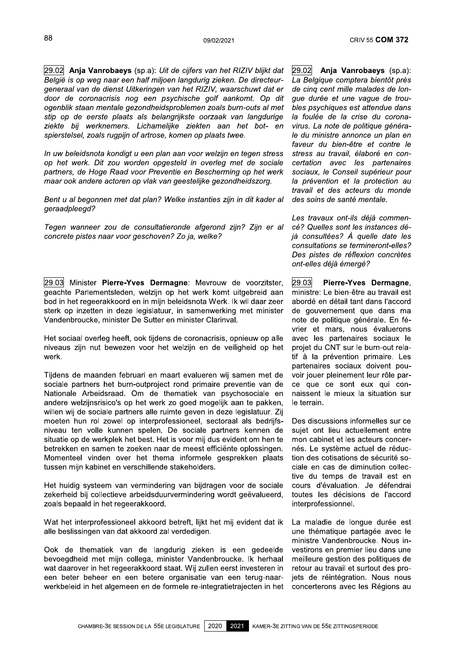$\overline{\phantom{0}}$ <u>29.02</u> <sup>09/02/2021</sup><br>
20.02 **Anja Vanrobaeys** (sp.a): *Uit de cijfers van het RIZIV blijkt dat*<br> *België is op weg naar een half miljoen langdurig zieken. De directeur-<br>
generaal van de dienst Uitkeringen van het RIZIV, waarschuwt* België is op weg naar een half miljoen langdurig zieken. De directeurgeneraal van de dienst Uitkeringen van het RIZIV, waarschuwt dat er door de coronacrisis nog een psychische golf aankomt. Op dit ogenblik staan mentale gezondheidsproblemen zoals burn-outs al met stip op de eerste plaats als belangrijkste oorzaak van langdurige ziekte bij werknemers. Lichamelijke ziekten aan het bot- en spierstelsel, zoals rugpijn of artrose, komen op plaats twee.

i.<br>L in uw beleidshota kondigt u een plan aan voor weizijn en tegen stress op het werk. Dit zou worden opgesteld in overleg met de sociale partners, de Hoge Raad voor Preventie en Bescherming op het werk maar ook andere actoren op vlak van geestelijke gezondheidszorg.

 $\mathbb{R}^2$ Bent u al begonnen met dat plan? Welke instanties zijn in dit kader al geraadpleegd?

Tegen wanneer zou de consuitatieronde afgerond zijn? Zijn er al concrete pistes naar voor geschoven? Zo ja, welke?

29.03 Minister Pierre-Yves Dermagne: Mevrouw de voorzitster, klappeega?<br>
In wanneer zou de consultatieronde afgerond zijn? Zijn er al<br>
Interte pistes naar voor geschoven? Zo ja, welke?<br>
3<br>
Minister Pierre-Yves Dermagne: Mevrouw de voorzitster,<br>
the Parlementsleden, welzijn op het we geachte Parlementsleden, welzijn op het werk komt uitgebreid aan bod in het regeerakkoord en in mijn beleidsnota Werk. Ik wil daar zeer sterk op inzetten in deze legislatuur, in samenwerking met minister vandenbroucke, minister De Sutter en minister Clarinval.

J. Het sociaal overleg neeft, ook tijdens de coronacrisis, opnieuw op alle niveaus zijn nut bewezen voor het welzijn en de veiligheid op het werk.

Tijdens de maanden februari en maart evalueren wij samen met de sociale partners het burn-outproject rond primaire preventie van de Nationale Arbeidsraad. Om de thematiek van psychosociale en andere welzijnsrisico's op het werk zo goed mogelijk aan te pakken, willen wij de sociale partners alle ruimte geven in deze legislatuur. Zij moeten hun rol zowel op interprofessioneel, sectoraal als bedrijfsniveau ten volle kunnen spelen. De sociale partners kennen de situatie op de werkplek het best. Het is voor mij dus evident om hen te betrekken en samen te zoeken naar de meest efficiënte oplossingen. Momenteel vinden over het thema informele gesprekken plaats tussen mijn kabinet en verschillende stakeholders.

Het nuldig systeem van vermindering van bijdragen voor de sociale zekerheid bij collectieve arbeidsduurvermindering wordt geëvalueerd, zoals bepaald in het regeerakkoord.

 $\frac{1}{2}$ vvat het interprofessioneel akkoord betreft, lijkt het mij evident dat ik alle beslissingen van dat akkoord zal verdedigen.

Í. Ook de thematiek van de langdurig zieken is een gedeelde bevoegdneid met mijn collega, minister Vandenbroucke. Ik hernaal wat daarover in het regeerakkoord staat. Wij zullen eerst investeren in een beter beheer en een betere organisatie van een terug-naarwerkbeleid in het algemeen en de formele re-integratietrajecten in het

29.02 CRIV 55 **COM 372**<br>CRIV 55 **COM 372**<br>V blijkt dat  $\begin{array}{r} 29.02 \ \boxed{29.02} \end{array}$  **Anja Vanrobaeys** (sp.a):<br>directeur- La Belgique comptera bientôt près<br>uwt dat er de cinq cent mille malades de lon-<br>t. Op dit gue durée et un La Belgique comptera bientôt près de cinq cent mille malades de lonque durée et une vaque de troubles psychiques est attendue dans la foulée de la crise du coronavirus. La note de politique générale du ministre annonce un plan en faveur du bien-être et contre le stress au travail, élaboré en concertation avec les partenaires sociaux, le Conseil supérieur pour la prévention et la protection au travail et des acteurs du monde des soins de santé mentale.

> Les travaux ont-lis deja commencé? Quelles sont les instances déjà consultées? À quelle date les consultations se termineront-elles? Des pistes de réflexion concrètes ont-elles déjà émergé?

 $\overline{\phantom{0}}$ <u>29.03</u> travaux ont-ils déjà commen-<br>Quelles sont les instances dé-<br>onsultées? À quelle date les<br>sultations se termineront-elles?<br>pistes de réflexion concrètes<br>elles déjà émergé?<br>**3** Pierre-Yves Dermagne,<br>stre: Le bien-être au tra ministre: Le bien-être au travail est abordé en détail tant dans l'accord de gouvernement que dans ma note de politique générale. En février et mars, nous évaluerons avec les partenaires sociaux le projet du CNT sur le burn-out relatif à la prévention primaire. Les partenaires sociaux doivent pouvoir jouer pleinement leur rôle parce que ce sont eux qui connaissent le mieux la situation sur le terrain.

Des discussions informelles sur ce suiet ont lieu actuellement entre mon cabinet et les acteurs concernés. Le système actuel de réduction des cotisations de sécurité sociale en cas de diminution collective du temps de travail est en cours d'évaluation. Je défendrai toutes les décisions de l'accord interprofessionnel.

i. La maladie de longue duree est une thématique partagée avec le ministre vandenbroucke. Nous investirons en premier lieu dans une meilleure gestion des politiques de retour au travail et surtout des projets de réintégration. Nous nous concerterons avec les Régions au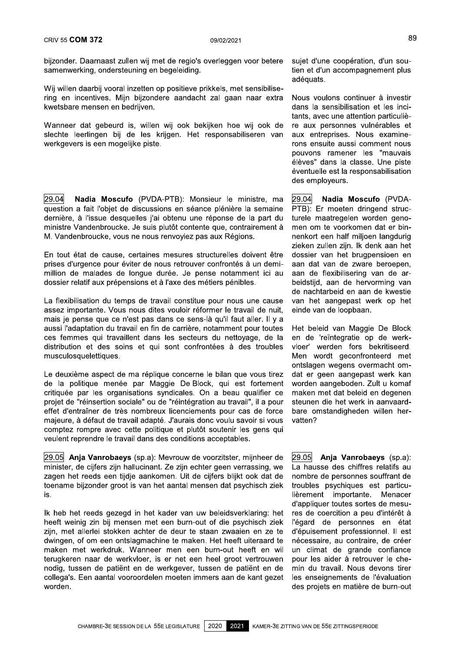bijzonder. Daarnaast zullen wij met de regio's overleggen voor betere samenwerking, ondersteuning en begeleiding.

Wij willen daarbij vooral inzetten op positieve prikkels, met sensibilisering en incentives. Mijn bijzondere aandacht zal gaan naar extra kwetsbare mensen en bedrijven.

Wanneer dat gebeurd is, willen wij ook bekijken hoe wij ook de slechte leerlingen bij de les krijgen. Het responsabiliseren van werkgevers is een mogelijke piste.

29.04 Nadia Moscufo (PVDA-PTB): Monsieur le ministre, ma question a fait l'obiet de discussions en séance plénière la semaine dernière, à l'issue desquelles j'ai obtenu une réponse de la part du ministre Vandenbroucke. Je suis plutôt contente que, contrairement à M. Vandenbroucke, vous ne nous renvoyiez pas aux Régions.

En tout état de cause, certaines mesures structurelles doivent être prises d'urgence pour éviter de nous retrouver confrontés à un demimillion de malades de longue durée. Je pense notamment ici au dossier relatif aux prépensions et à l'axe des métiers pénibles.

La flexibilisation du temps de travail constitue pour nous une cause assez importante. Vous nous dites vouloir réformer le travail de nuit. mais je pense que ce n'est pas dans ce sens-là qu'il faut aller. Il y a aussi l'adaptation du travail en fin de carrière, notamment pour toutes ces femmes qui travaillent dans les secteurs du nettoyage, de la distribution et des soins et qui sont confrontées à des troubles musculosquelettiques.

Le deuxième aspect de ma réplique concerne le bilan que vous tirez de la politique menée par Maggie De Block, qui est fortement critiquée par les organisations syndicales. On a beau qualifier ce projet de "réinsertion sociale" ou de "réintégration au travail", il a pour effet d'entraîner de très nombreux licenciements pour cas de force majeure, à défaut de travail adapté. J'aurais donc voulu savoir si vous comptez rompre avec cette politique et plutôt soutenir les gens qui veulent reprendre le travail dans des conditions acceptables.

29.05 Anja Vanrobaeys (sp.a): Mevrouw de voorzitster, mijnheer de minister, de cijfers zijn hallucinant. Ze zijn echter geen verrassing, we zagen het reeds een tijdje aankomen. Uit de cijfers blijkt ook dat de toename bijzonder groot is van het aantal mensen dat psychisch ziek is.

Ik heb het reeds gezegd in het kader van uw beleidsverklaring: het heeft weinig zin bij mensen met een burn-out of die psychisch ziek zijn, met allerlei stokken achter de deur te staan zwaaien en ze te dwingen, of om een ontslagmachine te maken. Het heeft uiteraard te maken met werkdruk. Wanneer men een burn-out heeft en wil terugkeren naar de werkvloer, is er net een heel groot vertrouwen nodig, tussen de patiënt en de werkgever, tussen de patiënt en de collega's. Een aantal vooroordelen moeten immers aan de kant gezet worden.

sujet d'une coopération, d'un soutien et d'un accompagnement plus adéquats.

Nous voulons continuer à investir dans la sensibilisation et les incitants, avec une attention particulière aux personnes vulnérables et aux entreprises. Nous examinerons ensuite aussi comment nous pouvons ramener les "mauvais élèves" dans la classe. Une piste éventuelle est la responsabilisation des emploveurs.

29.04 Nadia Moscufo (PVDA-PTB): Er moeten dringend structurele maatregelen worden genomen om te voorkomen dat er binnenkort een half miljoen langdurig zieken zullen zijn. Ik denk aan het dossier van het brugpensioen en aan dat van de zware beroepen, aan de flexibilisering van de arbeidstijd, aan de hervorming van de nachtarbeid en aan de kwestie van het aangepast werk op het einde van de loopbaan.

Het beleid van Maggie De Block en de 'reïntegratie op de werkvloer' werden fors bekritiseerd. Men wordt geconfronteerd met ontslagen wegens overmacht omdat er geen aangepast werk kan worden aangeboden. Zult u komaf maken met dat beleid en degenen steunen die het werk in aanvaardbare omstandigheden willen hervatten?

29.05 Anja Vanrobaeys (sp.a): La hausse des chiffres relatifs au nombre de personnes souffrant de troubles psychiques est particulièrement importante. Menacer d'appliquer toutes sortes de mesures de coercition a peu d'intérêt à l'égard de personnes en état d'épuisement professionnel. Il est nécessaire, au contraire, de créer un climat de grande confiance pour les aider à retrouver le chemin du travail. Nous devons tirer les enseignements de l'évaluation des projets en matière de burn-out